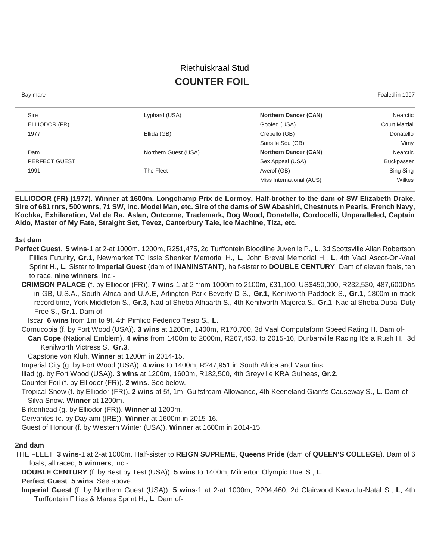# Riethuiskraal Stud **COUNTER FOIL**

Bay mare Foaled in 1997

| Nearctic             | <b>Northern Dancer (CAN)</b> | Lyphard (USA)        | Sire          |
|----------------------|------------------------------|----------------------|---------------|
| <b>Court Martial</b> | Goofed (USA)                 |                      | ELLIODOR (FR) |
| Donatello            | Crepello (GB)                | Ellida (GB)          | 1977          |
| Vimy                 | Sans le Sou (GB)             |                      |               |
| Nearctic             | <b>Northern Dancer (CAN)</b> | Northern Guest (USA) | Dam           |
| <b>Buckpasser</b>    | Sex Appeal (USA)             |                      | PERFECT GUEST |
| Sing Sing            | Averof (GB)                  | The Fleet            | 1991          |
| Wilkes               | Miss International (AUS)     |                      |               |
|                      |                              |                      |               |

**ELLIODOR (FR) (1977). Winner at 1600m, Longchamp Prix de Lormoy. Half-brother to the dam of SW Elizabeth Drake. Sire of 681 rnrs, 500 wnrs, 71 SW, inc. Model Man, etc. Sire of the dams of SW Abashiri, Chestnuts n Pearls, French Navy, Kochka, Exhilaration, Val de Ra, Aslan, Outcome, Trademark, Dog Wood, Donatella, Cordocelli, Unparalleled, Captain Aldo, Master of My Fate, Straight Set, Tevez, Canterbury Tale, Ice Machine, Tiza, etc.**

#### **1st dam**

- **Perfect Guest**, **5 wins**-1 at 2-at 1000m, 1200m, R251,475, 2d Turffontein Bloodline Juvenile P., **L**, 3d Scottsville Allan Robertson Fillies Futurity, **Gr.1**, Newmarket TC Issie Shenker Memorial H., **L**, John Breval Memorial H., **L**, 4th Vaal Ascot-On-Vaal Sprint H., **L**. Sister to **Imperial Guest** (dam of **INANINSTANT**), half-sister to **DOUBLE CENTURY**. Dam of eleven foals, ten to race, **nine winners**, inc:-
	- **CRIMSON PALACE** (f. by Elliodor (FR)). **7 wins**-1 at 2-from 1000m to 2100m, £31,100, US\$450,000, R232,530, 487,600Dhs in GB, U.S.A., South Africa and U.A.E, Arlington Park Beverly D S., **Gr.1**, Kenilworth Paddock S., **Gr.1**, 1800m-in track record time, York Middleton S., **Gr.3**, Nad al Sheba Alhaarth S., 4th Kenilworth Majorca S., **Gr.1**, Nad al Sheba Dubai Duty Free S., **Gr.1**. Dam of-

Iscar. **6 wins** from 1m to 9f, 4th Pimlico Federico Tesio S., **L**.

Cornucopia (f. by Fort Wood (USA)). **3 wins** at 1200m, 1400m, R170,700, 3d Vaal Computaform Speed Rating H. Dam of-

**Can Cope** (National Emblem). **4 wins** from 1400m to 2000m, R267,450, to 2015-16, Durbanville Racing It's a Rush H., 3d Kenilworth Victress S., **Gr.3**.

Capstone von Kluh. **Winner** at 1200m in 2014-15.

Imperial City (g. by Fort Wood (USA)). **4 wins** to 1400m, R247,951 in South Africa and Mauritius.

Iliad (g. by Fort Wood (USA)). **3 wins** at 1200m, 1600m, R182,500, 4th Greyville KRA Guineas, **Gr.2**.

Counter Foil (f. by Elliodor (FR)). **2 wins**. See below.

Tropical Snow (f. by Elliodor (FR)). **2 wins** at 5f, 1m, Gulfstream Allowance, 4th Keeneland Giant's Causeway S., **L**. Dam of-Silva Snow. **Winner** at 1200m.

Birkenhead (g. by Elliodor (FR)). **Winner** at 1200m.

Cervantes (c. by Daylami (IRE)). **Winner** at 1600m in 2015-16.

Guest of Honour (f. by Western Winter (USA)). **Winner** at 1600m in 2014-15.

### **2nd dam**

THE FLEET, **3 wins**-1 at 2-at 1000m. Half-sister to **REIGN SUPREME**, **Queens Pride** (dam of **QUEEN'S COLLEGE**). Dam of 6 foals, all raced, **5 winners**, inc:-

**DOUBLE CENTURY** (f. by Best by Test (USA)). **5 wins** to 1400m, Milnerton Olympic Duel S., **L**.

**Perfect Guest**. **5 wins**. See above.

**Imperial Guest** (f. by Northern Guest (USA)). **5 wins**-1 at 2-at 1000m, R204,460, 2d Clairwood Kwazulu-Natal S., **L**, 4th Turffontein Fillies & Mares Sprint H., **L**. Dam of